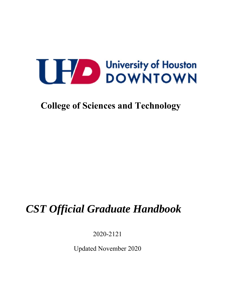**College of Sciences and Technology**

# *CST Official Graduate Handbook*

2020-2121

Updated November 2020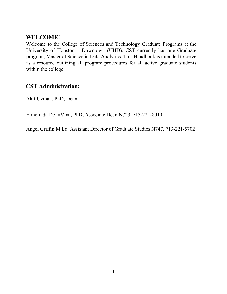### **WELCOME!**

Welcome to the College of Sciences and Technology Graduate Programs at the University of Houston – Downtown (UHD). CST currently has one Graduate program, Master of Science in Data Analytics. This Handbook is intended to serve as a resource outlining all program procedures for all active graduate students within the college.

### **CST Administration:**

Akif Uzman, PhD, Dean

Ermelinda DeLaVina, PhD, Associate Dean N723, 713-221-8019

Angel Griffin M.Ed, Assistant Director of Graduate Studies N747, 713-221-5702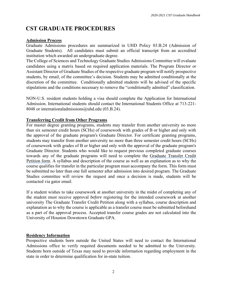### **CST GRADUATE PROCEDURES**

### **Admission Process**

Graduate Admissions procedures are summarized in UHD Policy 03.B.24 (Admission of Graduate Students). All candidates must submit an official transcript from an accredited institution which awarded an undergraduate degree.

The College of Sciences and Technology Graduate Studies Admissions Committee will evaluate candidates using a matrix based on required application materials. The Program Director or Assistant Director of Graduate Studies of the respective graduate program will notify prospective students, by email, of the committee's decision. Students may be admitted conditionally at the discretion of the committee. Conditionally admitted students will be advised of the specific stipulations and the conditions necessary to remove the "conditionally admitted" classification.

NON-U.S. resident students holding a visa should complete the Application for International Admission. International students should contact the International Students Office at 713-221- 8048 or internationaladmissions@uhd.edu (03.B.24).

### **Transferring Credit from Other Programs**

For master degree granting programs, students may transfer from another university no more than six semester credit hours (SCHs) of coursework with grades of B or higher and only with the approval of the graduate program's Graduate Director. For certificate granting programs, students may transfer from another university no more than three semester credit hours (SCHs) of coursework with grades of B or higher and only with the approval of the graduate program's Graduate Director. Students who would like to request previous completed graduate courses towards any of the graduate programs will need to complete the Graduate Transfer Credit Petition form. A syllabus and description of the course as well as an explanation as to why the course qualifies for transfer in the particular program must accompany the form. This form must be submitted no later than one full semester after admission into desired program. The Graduate Studies committee will review the request and once a decision is made, students will be contacted via gator email.

If a student wishes to take coursework at another university in the midst of completing any of the student must receive approval *before* registering for the intended coursework at another university The Graduate Transfer Credit Petition along with a syllabus, course description and explanation as to why the course is applicable as a transfer course must be submitted beforehand as a part of the approval process. Accepted transfer course grades are not calculated into the University of Houston Downtown Graduate GPA.

### **Residency Information**

Prospective students born outside the United States will need to contact the International Admissions office to verify required documents needed to be admitted to the University. Students born outside of Texas may need to provide information regarding employment in the state in order to determine qualification for in-state tuition.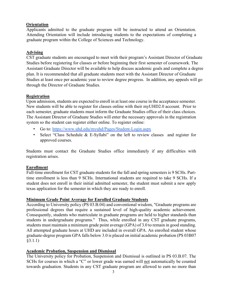### **Orientation**

Applicants admitted to the graduate program will be instructed to attend an Orientation. Attending Orientation will include introducing students to the expectations of completing a graduate program within the College of Sciences and Technology.

### **Advising**

CST graduate students are encouraged to meet with their program's Assistant Director of Graduate Studies before registering for classes or before beginning their first semester of coursework. The Assistant Graduate Director will be available to help discuss academic goals and complete a degree plan. It is recommended that all graduate students meet with the Assistant Director of Graduate Studies at least once per academic year to review degree progress. In addition, any appeals will go through the Director of Graduate Studies.

### **Registration**

Upon admission, students are expected to enroll in at least one course in the acceptance semester. New students will be able to register for classes online with their myUHD2.0 account. Prior to each semester, graduate students must inform the Graduate Studies office of their class choices. The Assistant Director of Graduate Studies will enter the necessary approvals in the registration system so the student can register either online. To register online:

- Go to: https://www.uhd.edu/myuhd/Pages/Student-Login.aspx
- Select "Class Schedule & E-Syllabi" on the left to review classes and register for approved courses.

Students must contact the Graduate Studies office immediately if any difficulties with registration arises.

#### **Enrollment**

Full-time enrollment for CST graduate students for the fall and spring semesters is 9 SCHs. Parttime enrollment is less than 9 SCHs. International students are required to take 9 SCHs. If a student does not enroll in their initial admitted semester, the student must submit a new apply texas application for the semester in which they are ready to enroll.

#### **Minimum Grade Point Average for Enrolled Graduate Students**

According to University policy (PS 03.B.04) and conventional wisdom, "Graduate programs are professional degrees that require a sustained level of high-quality academic achievement. Consequently, students who matriculate in graduate programs are held to higher standards than students in undergraduate programs." Thus, while enrolled in any CST graduate programs, students must maintain a minimum grade point average (GPA) of 3.0 to remain in good standing. All attempted graduate hours at UHD are included in overall GPA. An enrolled student whose graduate-degree program GPA falls below 3.0 is placed on initial academic probation (PS 03B07 §3.1.1)

### **Academic Probation, Suspension and Dismissal**

The University policy for Probation, Suspension and Dismissal is outlined in PS 03.B.07. The SCHs for courses in which a "C" or lower grade was earned will not automatically be counted towards graduation. Students in any CST graduate program are allowed to earn no more than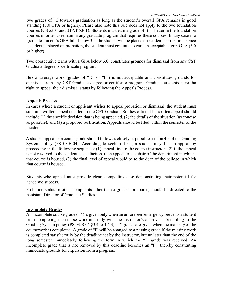two grades of "C towards graduation as long as the student's overall GPA remains in good standing (3.0 GPA or higher). Please also note this rule does not apply to the two foundation courses (CS 5301 and STAT 5301). Students must earn a grade of B or better in the foundation courses in order to remain in any graduate program that requires these courses. In any case if a graduate student's GPA falls below 3.0, the student will be placed on academic probation. Once a student is placed on probation, the student must continue to earn an acceptable term GPA (3.0 or higher).

Two consecutive terms with a GPA below 3.0, constitutes grounds for dismissal from any CST Graduate degree or certificate program.

Below average work (grades of "D" or "F") is not acceptable and constitutes grounds for dismissal from any CST Graduate degree or certificate program. Graduate students have the right to appeal their dismissal status by following the Appeals Process.

### **Appeals Process**

In cases where a student or applicant wishes to appeal probation or dismissal, the student must submit a written appeal emailed to the CST Graduate Studies office. The written appeal should include (1) the specific decision that is being appealed, (2) the details of the situation (as concise as possible), and (3) a proposed rectification. Appeals should be filed within the semester of the incident.

A student appeal of a course grade should follow as closely as possible section 4.5 of the Grading System policy (PS 03.B.04). According to section 4.5.4, a student may file an appeal by proceeding in the following sequence: (1) appeal first to the course instructor, (2) if the appeal is not resolved to the student's satisfaction, then appeal to the chair of the department in which that course is housed, (3) the final level of appeal would be to the dean of the college in which that course is housed.

Students who appeal must provide clear, compelling case demonstrating their potential for academic success.

Probation status or other complaints other than a grade in a course, should be directed to the Assistant Director of Graduate Studies.

### **Incomplete Grades**

An incomplete course grade ("I") is given only when an unforeseen emergency prevents a student from completing the course work and only with the instructor's approval. According to the Grading System policy (PS 03.B.04 §3.4 to 3.4.3), "I" grades are given when the majority of the coursework is completed. A grade of "I" will be changed to a passing grade if the missing work is completed satisfactorily by the deadline set by the instructor, but no later than the end of the long semester immediately following the term in which the "I" grade was received. An incomplete grade that is not removed by this deadline becomes an "F," thereby constituting immediate grounds for expulsion from a program.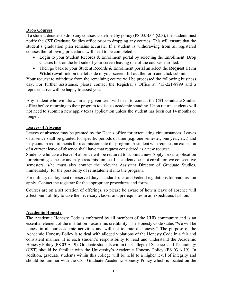### **Drop Courses**

If a student decides to drop any courses as defined by policy (PS 03.B.04 §2.3), the student must notify the CST Graduate Studies office prior to dropping any courses. This will ensure that the student's graduation plan remains accurate. If a student is withdrawing from all registered courses the following procedures will need to be completed:

- Login to your Student Records & Enrollment portal by selecting the Enrollment: Drop Classes link on the left side of your screen leaving one of the courses enrolled.
- Then go back to your Student Records & Enrollment portal an select the **Request Term Withdrawal** link on the left side of your screen, fill out the form and click submit.

Your request to withdraw from the remaining course will be processed the following business day. For further assistance, please contact the Registrar's Office at 713-221-8999 and a representative will be happy to assist you.

Any student who withdraws in any given term will need to contact the CST Graduate Studies office before returning to their program to discuss academic standing. Upon return, students will not need to submit a new apply texas application unless the student has been out 14 months or longer.

#### **Leaves of Absence**

Leaves of absence may be granted by the Dean's office for extenuating circumstances. Leaves of absence shall be granted for specific periods of time (e.g. one semester, one year, etc.) and may contain requirements for readmission into the program. A student who requests an extension of a current leave of absence shall have that request considered as a new request.

Students who take a leave of absence will be required to submit a new Apply Texas application for returning semester and pay a readmission fee. If a student does not enroll for two consecutive semesters, s/he must also contact the relevant Assistant Director of Graduate Studies, immediately, for the possibility of reinstatement into the program.

For military deployment or reserved duty, standard rules and Federal regulations for readmission apply. Contact the registrar for the appropriate procedures and forms.

Courses are on a set rotation of offerings, so please be aware of how a leave of absence will affect one's ability to take the necessary classes and prerequisites in an expeditious fashion.

#### **Academic Honesty**

The Academic Honesty Code is embraced by all members of the UHD community and is an essential element of the institution's academic credibility. The Honesty Code states "We will be honest in all our academic activities and will not tolerate dishonesty." The purpose of the Academic Honesty Policy is to deal with alleged violations of the Honesty Code in a fair and consistent manner. It is each student's responsibility to read and understand the Academic Honesty Policy (PS 03.A.19). Graduate students within the College of Sciences and Technology (CST) should be familiar with the University's Academic Honesty Policy (PS 03.A.19). In addition, graduate students within this college will be held to a higher level of integrity and should be familiar with the CST Graduate Academic Honesty Policy which is located on the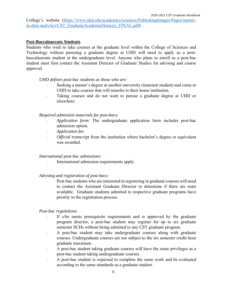College's website (https://www.uhd.edu/academics/sciences/PublishingImages/Pages/masterin-data-analytics/CST\_GraduateAcademicHonesty\_FINAL.pdf).

### **Post-Baccalaureate Students**

Students who wish to take courses at the graduate level within the College of Sciences and Technology without pursuing a graduate degree at UHD will need to apply as a postbaccalaureate student at the undergraduate level. Anyone who plans to enroll as a post-bac student must first contact the Assistant Director of Graduate Studies for advising and course approval.

*UHD defines post-bac students as those who are:* 

- Seeking a master's degree at another university (transient student) and come to UHD to take courses that will transfer to their home institution.
- Taking courses and do not want to pursue a graduate degree at UHD or elsewhere.

#### *Required admission materials for post-bacs:*

- *Application form*: The undergraduate application form includes post-bac admission option.
- *Application fee*.
- *Official transcript* from the institution where bachelor's degree or equivalent was awarded.

#### *International post-bac admissions:*

• International admission requirements apply.

#### *Advising and registration of post-bacs:*

• Post-bac students who are interested in registering in graduate courses will need to contact the Assistant Graduate Director to determine if there are seats available. Graduate students admitted to respective graduate programs have priority in the registration process.

#### *Post-bac regulations:*

- If s/he meets prerequisite requirements and is approved by the graduate program director, a post-bac student may register for up to six graduate semester SCHs without being admitted to any CST graduate program.
- A post-bac student may take undergraduate courses along with graduate courses. Undergraduate courses are not subject to the six semester credit hour graduate maximum.
- A post-bac student taking graduate courses will have the same privileges as a post-bac student taking undergraduate courses.
- A post-bac student is expected to complete the same work and be evaluated according to the same standards as a graduate student.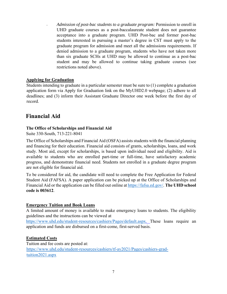• *Admission of post-bac students to a graduate program:* Permission to enroll in UHD graduate courses as a post-baccalaureate student does not guarantee acceptance into a graduate program. UHD Post-bac and former post-bac students interested in pursuing a master's degree in CST must apply to the graduate program for admission and meet all the admissions requirements. If denied admission to a graduate program, students who have not taken more than six graduate SCHs at UHD may be allowed to continue as a post-bac student and may be allowed to continue taking graduate courses (see restrictions noted above).

### **Applying for Graduation**

Students intending to graduate in a particular semester must be sure to (1) complete a graduation application form via Apply for Graduation link on the MyUHD2.0 webpage; (2) adhere to all deadlines; and (3) inform their Assistant Graduate Director one week before the first day of record.

### **Financial Aid**

### **The Office of Scholarships and Financial Aid**

Suite 330-South, 713-221-8041

The Office of Scholarships and Financial Aid (OSFA) assists students with the financial planning and financing for their education. Financial aid consists of grants, scholarships, loans, and work study. Most aid, except for scholarships, is based upon individual need and eligibility. Aid is available to students who are enrolled part-time or full-time, have satisfactory academic progress, and demonstrate financial need. Students not enrolled in a graduate degree program are not eligible for financial aid.

To be considered for aid, the candidate will need to complete the Free Application for Federal Student Aid (FAFSA). A paper application can be picked up at the Office of Scholarships and Financial Aid or the application can be filled out online at https://fafsa.ed.gov/. **The UHD school code is 003612**.

### **Emergency Tuition and Book Loans**

A limited amount of money is available to make emergency loans to students. The eligibility guidelines and the instructions can be viewed at

https://www.uhd.edu/student-resources/cashiers/Pages/default.aspx. These loans require an application and funds are disbursed on a first-come, first-served basis.

### **Estimated Costs**

Tuition and fee costs are posted at: https://www.uhd.edu/student-resources/cashiers/tf-ay2021/Pages/cashiers-gradtuition2021.aspx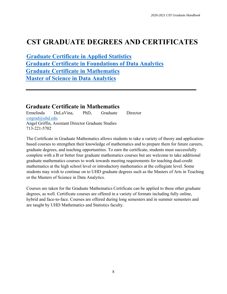## **CST GRADUATE DEGREES AND CERTIFICATES**

**Graduate Certificate in Applied Statistics Graduate Certificate in Foundations of Data Analytics Graduate Certificate in Mathematics Master of Science in Data Analytics**

### **Graduate Certificate in Mathematics**

Ermelinda DeLaVina, PhD, Graduate Director cstgrad@uhd.edu Angel Griffin, Assistant Director Graduate Studies 713-221-5702

The Certificate in Graduate Mathematics allows students to take a variety of theory and applicationbased courses to strengthen their knowledge of mathematics and to prepare them for future careers, graduate degrees, and teaching opportunities. To earn the certificate, students must successfully complete with a B or better four graduate mathematics courses but are welcome to take additional graduate mathematics courses to work towards meeting requirements for teaching dual-credit mathematics at the high school level or introductory mathematics at the collegiate level. Some students may wish to continue on to UHD graduate degrees such as the Masters of Arts in Teaching or the Masters of Science in Data Analytics.

Courses are taken for the Graduate Mathematics Certificate can be applied to these other graduate degrees, as well. Certificate courses are offered in a variety of formats including fully online, hybrid and face-to-face. Courses are offered during long semesters and in summer semesters and are taught by UHD Mathematics and Statistics faculty.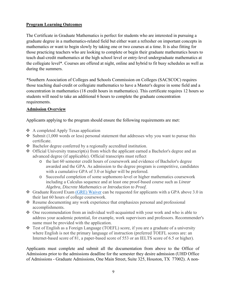### **Program Learning Outcomes**

The Certificate in Graduate Mathematics is perfect for students who are interested in pursuing a graduate degree in a mathematics-related field but either want a refresher on important concepts in mathematics or want to begin slowly by taking one or two courses at a time. It is also fitting for those practicing teachers who are looking to complete or begin their graduate mathematics hours to teach dual-credit mathematics at the high school level or entry-level undergraduate mathematics at the collegiate level\*. Courses are offered at night, online and hybrid to fit busy schedules as well as during the summers.

\*Southern Association of Colleges and Schools Commission on Colleges (SACSCOC) requires those teaching dual-credit or collegiate mathematics to have a Master's degree in some field and a concentration in mathematics (18 credit hours in mathematics). This certificate requires 12 hours so students will need to take an additional 6 hours to complete the graduate concentration requirements.

### **Admission Overview**

Applicants applying to the program should ensure the following requirements are met:

- ❖ A completed Apply Texas application
- $\bullet$  Submit (1,000 words or less) personal statement that addresses why you want to pursue this certificate.
- Bachelor degree conferred by a regionally accredited institution.
- $\triangleleft$  Official University transcript(s) from which the applicant earned a Bachelor's degree and an advanced degree (if applicable). Official transcripts must reflect
	- o the last 60 semester credit hours of coursework and evidence of Bachelor's degree awarded and the GPA. As admission to the degree program is competitive, candidates with a cumulative GPA of 3.0 or higher will be preferred.
	- o Successful completion of some sophomore-level or higher mathematics coursework including a Calculus sequence and at least one proof-based course such as *Linear Algebra, Discrete Mathematics* or *Introduction to Proof*.
- Graduate Record Exam (GRE) Waiver can be requested for applicants with a GPA above 3.0 in their last 60 hours of college coursework.
- Resume documenting any work experience that emphasizes personal and professional accomplishments.
- $\bullet$  One recommendation from an individual well-acquainted with your work and who is able to address your academic potential, for example, work supervisors and professors. Recommender's name must be provided with the application.
- Test of English as a Foreign Language (TOEFL) score, if you are a graduate of a university where English is not the primary language of instruction (preferred TOEFL scores are: an Internet-based score of 81, a paper-based score of 553 or an IELTS score of 6.5 or higher).

Applicants must complete and submit all the documentation from above to the Office of Admissions prior to the admissions deadline for the semester they desire admission (UHD Office of Admissions - Graduate Admissions, One Main Street, Suite 325, Houston, TX 77002). A non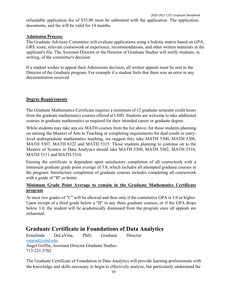refundable application fee of \$35.00 must be submitted with the application. The application, documents, and fee will be valid for 14 months.

### **Admission Process:**

The Graduate Advisory Committee will evaluate applications using a holistic matrix based on GPA, GRE score, relevant coursework or experience, recommendations, and other written materials in the applicant's file. The Assistant Director or the Director of Graduate Studies will notify students, in writing, of the committee's decision.

If a student wishes to appeal their Admissions decision, all written appeals must be sent to the Director of the Graduate program. For example if a student feels that there was an error in any documentation received

### **Degree Requirements**

The Graduate Mathematics Certificate requires a minimum of 12 graduate semester credit hours from the graduate mathematics courses offered at UHD. Students are welcome to take additional courses in graduate mathematics as required for their intended career or graduate degree.

While students may take any six MATH courses from the list above, for those students planning on earning the Masters of Arts in Teaching or completing requirements for dual-credit or entrylevel undergraduate mathematics teaching, we suggest they take MATH 5300, MATH 5306, MATH 5307, MATH 6322 and MATH 5315. Those students planning to continue on to the Masters of Science in Data Analytics should take MATH 5300, MATH 5302, MATH 5310, MATH 5311 and MATH 5316.

Earning the certificate is dependent upon satisfactory completion of all coursework with a minimum graduate grade point average of 3.0, which includes all attempted graduate courses in the program. Satisfactory completion of graduate courses includes completing all coursework with a grade of "B" or better.

### **Minimum Grade Point Average to remain in the Graduate Mathematics Certificate program**

At most two grades of "C" will be allowed and then only if the cumulative GPA is 3.0 or higher. Upon receipt of a third grade below a "B" in any three graduate courses, or if the GPA drops below 3.0, the student will be academically dismissed from the program once all appeals are exhausted.

### **Graduate Certificate in Foundations of Data Analytics**

Ermelinda DeLaVina, PhD, Graduate Director cstgrad@uhd.edu Angel Griffin, Assistant Director Graduate Studies 713-221-5702

The Graduate Certificate of Foundation in Data Analytics will provide learning professionals with the knowledge and skills necessary to begin to effectively analyze, but particularly understand the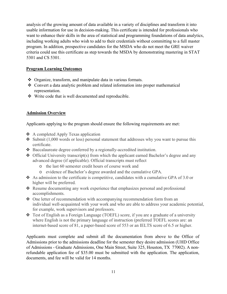analysis of the growing amount of data available in a variety of disciplines and transform it into usable information for use in decision-making. This certificate is intended for professionals who want to enhance their skills in the area of statistical and programming foundations of data analytics, including working adults who wish to add to their credentials without committing to a full master program. In addition, prospective candidates for the MSDA who do not meet the GRE waiver criteria could use this certificate as step towards the MSDA by demonstrating mastering in STAT 5301 and CS 5301.

### **Program Learning Outcomes**

- ◆ Organize, transform, and manipulate data in various formats.
- Convert a data analytic problem and related information into proper mathematical representation.
- Write code that is well documented and reproducible.

### **Admission Overview**

Applicants applying to the program should ensure the following requirements are met:

- $\triangle$  A completed Apply Texas application
- $\clubsuit$  Submit (1,000 words or less) personal statement that addresses why you want to pursue this certificate.
- Baccalaureate degree conferred by a regionally-accredited institution.
- $\triangle$  Official University transcript(s) from which the applicant earned Bachelor's degree and any advanced degree (if applicable). Official transcripts must reflect
	- o the last 60 semester credit hours of course work and
	- o evidence of Bachelor's degree awarded and the cumulative GPA.
- As admission to the certificate is competitive, candidates with a cumulative GPA of 3.0 or higher will be preferred.
- Resume documenting any work experience that emphasizes personal and professional accomplishments.
- One letter of recommendation with accompanying recommendation form from an individual well-acquainted with your work and who are able to address your academic potential, for example, work supervisors and professors.
- Test of English as a Foreign Language (TOEFL) score, if you are a graduate of a university where English is not the primary language of instruction (preferred TOEFL scores are: an internet-based score of 81, a paper-based score of 553 or an IELTS score of 6.5 or higher.

Applicants must complete and submit all the documentation from above to the Office of Admissions prior to the admissions deadline for the semester they desire admission (UHD Office of Admissions - Graduate Admissions, One Main Street, Suite 325, Houston, TX 77002). A nonrefundable application fee of \$35.00 must be submitted with the application. The application, documents, and fee will be valid for 14 months.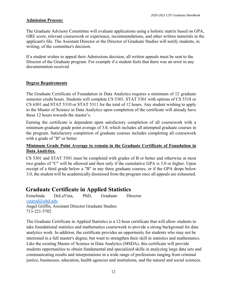### **Admission Process:**

The Graduate Advisory Committee will evaluate applications using a holistic matrix based on GPA, GRE score, relevant coursework or experience, recommendations, and other written materials in the applicant's file. The Assistant Director or the Director of Graduate Studies will notify students, in writing, of the committee's decision.

If a student wishes to appeal their Admissions decision, all written appeals must be sent to the Director of the Graduate program. For example if a student feels that there was an error in any documentation received

### **Degree Requirements**

The Graduate Certificate of Foundation in Data Analytics requires a minimum of 12 graduate semester credit hours. Students will complete CS 5301, STAT 5301 with options of CS 5318 or CS 6301 and STAT 5310 or STAT 5311 for the total of 12 hours. Any student wishing to apply to the Master of Science in Data Analytics upon completion of the certificate will already have these 12 hours towards the master's.

Earning the certificate is dependent upon satisfactory completion of all coursework with a minimum graduate grade point average of 3.0, which includes all attempted graduate courses in the program. Satisfactory completion of graduate courses includes completing all coursework with a grade of "B" or better.

### **Minimum Grade Point Average to remain in the Graduate Certificate of Foundation in Data Analytics.**

CS 5301 and STAT 5301 must be completed with grades of B or better and otherwise at most two grades of "C" will be allowed and then only if the cumulative GPA is 3.0 or higher. Upon receipt of a third grade below a "B" in any three graduate courses, or if the GPA drops below 3.0, the student will be academically dismissed from the program once all appeals are exhausted.

### **Graduate Certificate in Applied Statistics**

Ermelinda DeLaVina, PhD, Graduate Director cstgrad@uhd.edu Angel Griffin, Assistant Director Graduate Studies 713-221-5702

The Graduate Certificate in Applied Statistics is a 12-hour certificate that will allow students to take foundational statistics and mathematics coursework to provide a strong background for data analytics work. In addition, the certificate provides an opportunity for students who may not be interested in a full master's degree, but want to strengthen their skill in statistics and mathematics. Like the existing Master of Science in Data Analytics (MSDA), this certificate will provide students opportunities to obtain fundamental and specialized skills in analyzing large data sets and communicating results and interpretations in a wide range of professions ranging from criminal justice, businesses, education, health agencies and institutions, and the natural and social sciences.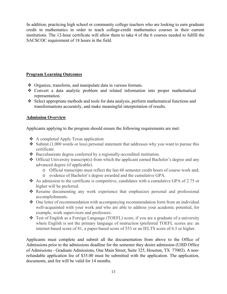In addition, practicing high school or community college teachers who are looking to earn graduate credit in mathematics in order to teach college-credit mathematics courses in their current institutions. The 12-hour certificate will allow them to take 4 of the 6 courses needed to fulfill the SACSCOC requirement of 18 hours in the field.

### **Program Learning Outcomes**

- ❖ Organize, transform, and manipulate data in various formats.
- Convert a data analytic problem and related information into proper mathematical representation.
- Select appropriate methods and tools for data analysis, perform mathematical functions and transformations accurately, and make meaningful interpretation of results.

### **Admission Overview**

Applicants applying to the program should ensure the following requirements are met:

- $\triangle$  A completed Apply Texas application
- $\triangle$  Submit (1,000 words or less) personal statement that addresses why you want to pursue this certificate.
- Baccalaureate degree conferred by a regionally-accredited institution.
- $\triangle$  Official University transcript(s) from which the applicant earned Bachelor's degree and any advanced degree (if applicable).
	- o Official transcripts must reflect the last 60 semester credit hours of course work and;
	- o evidence of Bachelor's degree awarded and the cumulative GPA.
- $\bullet$  As admission to the certificate is competitive, candidates with a cumulative GPA of 2.75 or higher will be preferred.
- Resume documenting any work experience that emphasizes personal and professional accomplishments.
- One letter of recommendation with accompanying recommendation form from an individual well-acquainted with your work and who are able to address your academic potential, for example, work supervisors and professors.
- Test of English as a Foreign Language (TOEFL) score, if you are a graduate of a university where English is not the primary language of instruction (preferred TOEFL scores are: an internet-based score of 81, a paper-based score of 553 or an IELTS score of 6.5 or higher.

Applicants must complete and submit all the documentation from above to the Office of Admissions prior to the admissions deadline for the semester they desire admission (UHD Office of Admissions - Graduate Admissions, One Main Street, Suite 325, Houston, TX 77002). A nonrefundable application fee of \$35.00 must be submitted with the application. The application, documents, and fee will be valid for 14 months.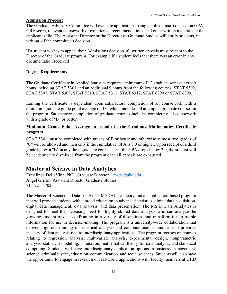### **Admission Process:**

The Graduate Advisory Committee will evaluate applications using a holistic matrix based on GPA, GRE score, relevant coursework or experience, recommendations, and other written materials in the applicant's file. The Assistant Director or the Director of Graduate Studies will notify students, in writing, of the committee's decision.

If a student wishes to appeal their Admissions decision, all written appeals must be sent to the Director of the Graduate program. For example if a student feels that there was an error in any documentation received

### **Degree Requirements**

The Graduate Certificate in Applied Statistics requires a minimum of 12 graduate semester credit hours including STAT 5301 and an additional 9 hours from the following courses; STAT 5302, STAT 5307, STAT 5309, STAT 5310, STAT 5311, STAT 6312, STAT 6390 or STAT 6399.

Earning the certificate is dependent upon satisfactory completion of all coursework with a minimum graduate grade point average of 3.0, which includes all attempted graduate courses in the program. Satisfactory completion of graduate courses includes completing all coursework with a grade of "B" or better.

### **Minimum Grade Point Average to remain in the Graduate Mathematics Certificate program**

STAT 5301 must be completed with grades of B or better and otherwise at most two grades of "C" will be allowed and then only if the cumulative GPA is 3.0 or higher. Upon receipt of a third grade below a "B" in any three graduate courses, or if the GPA drops below 3.0, the student will be academically dismissed from the program once all appeals are exhausted.

### **Master of Science in Data Analytics**

Ermelinda DeLaVina, PhD, Graduate Director msda@uhd.edu Angel Griffin, Assistant Director Graduate Studies 713-221-5702

The Master of Science in Data Analytics (MSDA) is a theory and an application-based program that will provide students with a broad education in advanced statistics, digital data acquisition, digital data management, data analysis, and data presentation. The MS in Data Analytics is designed to meet the increasing need for highly skilled data analysts who can analyze the growing amount of data confronting in a variety of disciplines, and transform it into usable information for use in decision-making. The program is a university-wide collaboration that delivers rigorous training in statistical analysis and computational techniques and provides mastery of data analysis tied to interdisciplinary applications. The program focuses on courses relating to regression analysis, multivariate analysis, experimental design, nonparametric analysis, statistical modeling, simulation, mathematical theory for data analysis, and statistical computing. Students will have interdisciplinary application options in business management, science, criminal justice, education, communication, and social sciences. Students will also have the opportunity to engage in research or real-world applications with faculty members at UHD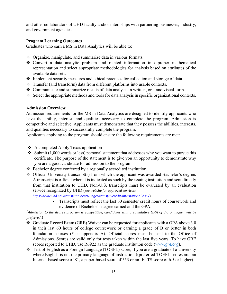and other collaborators of UHD faculty and/or internships with partnering businesses, industry, and government agencies.

### **Program Learning Outcomes**

Graduates who earn a MS in Data Analytics will be able to:

- Organize, manipulate, and summarize data in various formats.
- Convert a data analytic problem and related information into proper mathematical representation and select appropriate methodologies for analysis based on attributes of the available data sets.
- Implement security measures and ethical practices for collection and storage of data.
- Transfer (and transform) data from different platforms into usable contexts.
- Communicate and summarize results of data analysis in written, oral and visual form.
- $\triangle$  Select the appropriate methods and tools for data analysis in specific organizational contexts.

### **Admission Overview**

Admission requirements for the MS in Data Analytics are designed to identify applicants who have the ability, interest, and qualities necessary to complete the program. Admission is competitive and selective. Applicants must demonstrate that they possess the abilities, interests, and qualities necessary to successfully complete the program.

Applicants applying to the program should ensure the following requirements are met:

- ❖ A completed Apply Texas application
- $\cdot$  Submit (1,000 words or less) personal statement that addresses why you want to pursue this certificate. The purpose of the statement is to give you an opportunity to demonstrate why you are a good candidate for admission to the program.
- Bachelor degree conferred by a regionally accredited institution.
- $\triangle$  Official University transcript(s) from which the applicant was awarded Bachelor's degree. A transcript is official when it is indicated as such by the issuing institution and sent directly from that institution to UHD. Non-U.S. transcripts must be evaluated by an evaluation service recognized by UHD (*see website for approved services:*

*https://www.uhd.edu/transferstudents/Pages/transfer-credit-international.aspx*)

• Transcripts must reflect the last 60 semester credit hours of coursework and evidence of Bachelor's degree earned and the GPA.

(*Admission to the degree program is competitive, candidates with a cumulative GPA of 3.0 or higher will be preferred*.)

- $\div$  Graduate Record Exam (GRE) Waiver can be requested for applicants with a GPA above 3.0 in their last 60 hours of college coursework or earning a grade of B or better in both foundation courses (\*see appendix A). Official scores must be sent to the Office of Admissions. Scores are valid only for tests taken within the last five years. To have GRE scores reported to UHD, use R6922 as the graduate institution code (*www.gre.org*).
- Test of English as a Foreign Language (TOEFL) score, if you are a graduate of a university where English is not the primary language of instruction ((preferred TOEFL scores are: an Internet-based score of 81, a paper-based score of 553 or an IELTS score of 6.5 or higher).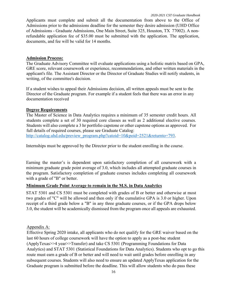Applicants must complete and submit all the documentation from above to the Office of Admissions prior to the admissions deadline for the semester they desire admission (UHD Office of Admissions - Graduate Admissions, One Main Street, Suite 325, Houston, TX 77002). A nonrefundable application fee of \$35.00 must be submitted with the application. The application, documents, and fee will be valid for 14 months.

### **Admission Process:**

The Graduate Advisory Committee will evaluate applications using a holistic matrix based on GPA, GRE score, relevant coursework or experience, recommendations, and other written materials in the applicant's file. The Assistant Director or the Director of Graduate Studies will notify students, in writing, of the committee's decision.

If a student wishes to appeal their Admissions decision, all written appeals must be sent to the Director of the Graduate program. For example if a student feels that there was an error in any documentation received

### **Degree Requirements**

The Master of Science in Data Analytics requires a minimum of 35 semester credit hours. All students complete a set of 30 required core classes as well as 2 additional elective courses. Students will also complete a 3 hr portfolio capstone or other capstone options as approved. For full details of required courses, please see Graduate Catalog: http://catalog.uhd.edu/preview\_program.php?catoid=10&poid=2521&returnto=793.

Internships must be approved by the Director prior to the student enrolling in the course.

Earning the master's is dependent upon satisfactory completion of all coursework with a minimum graduate grade point average of 3.0, which includes all attempted graduate courses in the program. Satisfactory completion of graduate courses includes completing all coursework with a grade of "B" or better.

### **Minimum Grade Point Average to remain in the M.S. in Data Analytics**

STAT 5301 and CS 5301 must be completed with grades of B or better and otherwise at most two grades of "C" will be allowed and then only if the cumulative GPA is 3.0 or higher. Upon receipt of a third grade below a "B" in any three graduate courses, or if the GPA drops below 3.0, the student will be academically dismissed from the program once all appeals are exhausted.

### Appendix A:

Effective Spring 2020 intake, all applicants who do not qualify for the GRE waiver based on the last 60 hours of college coursework will have the option to apply as a post-bac student (ApplyTexas>>4 year>>Transfer) and take CS 5301 (Programming Foundations for Data Analytics) and STAT 5301 (Statistical Foundations for Data Analytics). Students who opt to go this route must earn a grade of B or better and will need to wait until grades before enrolling in any subsequent courses. Students will also need to ensure an updated ApplyTexas application for the Graduate program is submitted before the deadline. This will allow students who do pass these